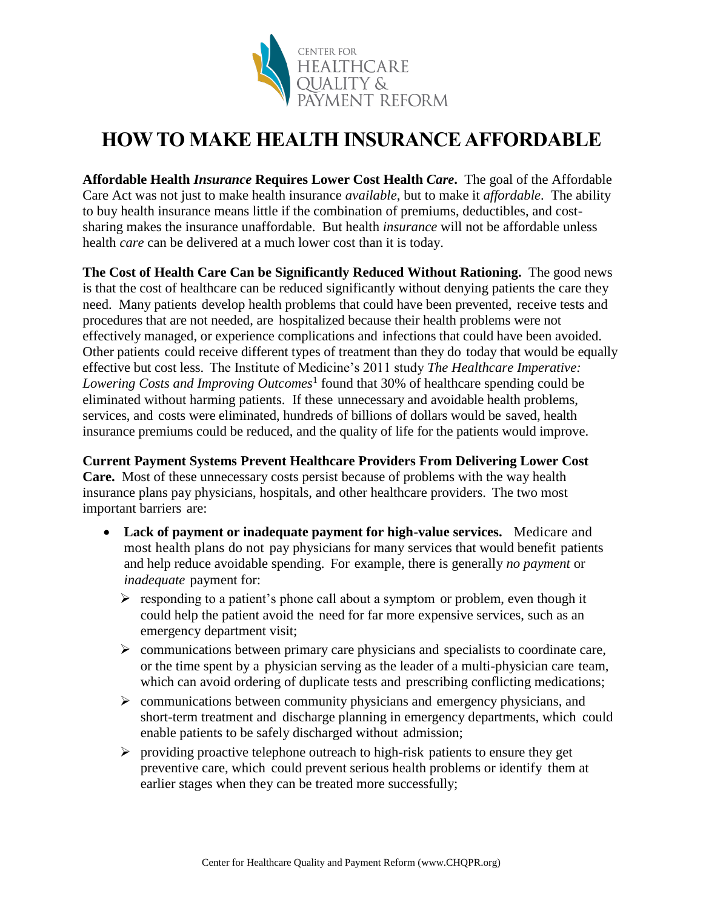

## **HOW TO MAKE HEALTH INSURANCE AFFORDABLE**

**Affordable Health** *Insurance* **Requires Lower Cost Health** *Care***.** The goal of the Affordable Care Act was not just to make health insurance *available*, but to make it *affordable*. The ability to buy health insurance means little if the combination of premiums, deductibles, and costsharing makes the insurance unaffordable. But health *insurance* will not be affordable unless health *care* can be delivered at a much lower cost than it is today.

**The Cost of Health Care Can be Significantly Reduced Without Rationing.** The good news is that the cost of healthcare can be reduced significantly without denying patients the care they need. Many patients develop health problems that could have been prevented, receive tests and procedures that are not needed, are hospitalized because their health problems were not effectively managed, or experience complications and infections that could have been avoided. Other patients could receive different types of treatment than they do today that would be equally effective but cost less. The Institute of Medicine's 2011 study *The Healthcare Imperative:*  Lowering Costs and Improving Outcomes<sup>1</sup> found that 30% of healthcare spending could be eliminated without harming patients. If these unnecessary and avoidable health problems, services, and costs were eliminated, hundreds of billions of dollars would be saved, health insurance premiums could be reduced, and the quality of life for the patients would improve.

**Current Payment Systems Prevent Healthcare Providers From Delivering Lower Cost Care.** Most of these unnecessary costs persist because of problems with the way health insurance plans pay physicians, hospitals, and other healthcare providers. The two most important barriers are:

- **Lack of payment or inadequate payment for high-value services.** Medicare and most health plans do not pay physicians for many services that would benefit patients and help reduce avoidable spending. For example, there is generally *no payment* or *inadequate* payment for:
	- $\triangleright$  responding to a patient's phone call about a symptom or problem, even though it could help the patient avoid the need for far more expensive services, such as an emergency department visit;
	- $\triangleright$  communications between primary care physicians and specialists to coordinate care, or the time spent by a physician serving as the leader of a multi-physician care team, which can avoid ordering of duplicate tests and prescribing conflicting medications;
	- $\triangleright$  communications between community physicians and emergency physicians, and short-term treatment and discharge planning in emergency departments, which could enable patients to be safely discharged without admission;
	- $\triangleright$  providing proactive telephone outreach to high-risk patients to ensure they get preventive care, which could prevent serious health problems or identify them at earlier stages when they can be treated more successfully;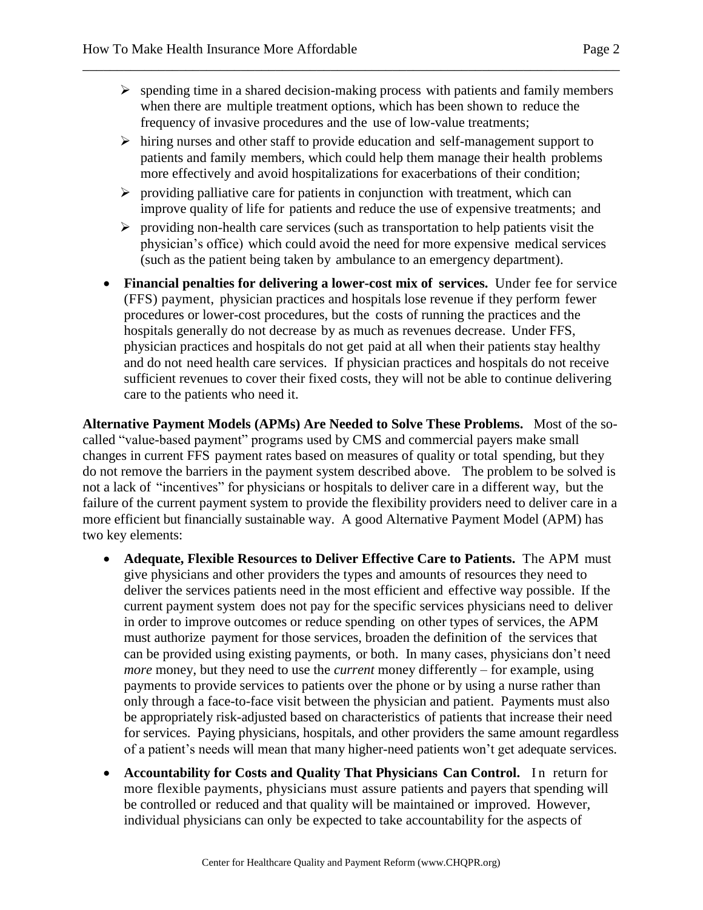$\triangleright$  spending time in a shared decision-making process with patients and family members when there are multiple treatment options, which has been shown to reduce the frequency of invasive procedures and the use of low-value treatments;

\_\_\_\_\_\_\_\_\_\_\_\_\_\_\_\_\_\_\_\_\_\_\_\_\_\_\_\_\_\_\_\_\_\_\_\_\_\_\_\_\_\_\_\_\_\_\_\_\_\_\_\_\_\_\_\_\_\_\_\_\_\_\_\_\_\_\_\_\_\_\_\_\_\_\_\_\_\_

- $\triangleright$  hiring nurses and other staff to provide education and self-management support to patients and family members, which could help them manage their health problems more effectively and avoid hospitalizations for exacerbations of their condition;
- $\triangleright$  providing palliative care for patients in conjunction with treatment, which can improve quality of life for patients and reduce the use of expensive treatments; and
- $\triangleright$  providing non-health care services (such as transportation to help patients visit the physician's office) which could avoid the need for more expensive medical services (such as the patient being taken by ambulance to an emergency department).
- **Financial penalties for delivering a lower-cost mix of services.** Under fee for service (FFS) payment, physician practices and hospitals lose revenue if they perform fewer procedures or lower-cost procedures, but the costs of running the practices and the hospitals generally do not decrease by as much as revenues decrease. Under FFS, physician practices and hospitals do not get paid at all when their patients stay healthy and do not need health care services. If physician practices and hospitals do not receive sufficient revenues to cover their fixed costs, they will not be able to continue delivering care to the patients who need it.

**Alternative Payment Models (APMs) Are Needed to Solve These Problems.** Most of the socalled "value-based payment" programs used by CMS and commercial payers make small changes in current FFS payment rates based on measures of quality or total spending, but they do not remove the barriers in the payment system described above. The problem to be solved is not a lack of "incentives" for physicians or hospitals to deliver care in a different way, but the failure of the current payment system to provide the flexibility providers need to deliver care in a more efficient but financially sustainable way. A good Alternative Payment Model (APM) has two key elements:

- **Adequate, Flexible Resources to Deliver Effective Care to Patients.** The APM must give physicians and other providers the types and amounts of resources they need to deliver the services patients need in the most efficient and effective way possible. If the current payment system does not pay for the specific services physicians need to deliver in order to improve outcomes or reduce spending on other types of services, the APM must authorize payment for those services, broaden the definition of the services that can be provided using existing payments, or both. In many cases, physicians don't need *more* money, but they need to use the *current* money differently – for example, using payments to provide services to patients over the phone or by using a nurse rather than only through a face-to-face visit between the physician and patient. Payments must also be appropriately risk-adjusted based on characteristics of patients that increase their need for services. Paying physicians, hospitals, and other providers the same amount regardless of a patient's needs will mean that many higher-need patients won't get adequate services.
- Accountability for Costs and Quality That Physicians Can Control. In return for more flexible payments, physicians must assure patients and payers that spending will be controlled or reduced and that quality will be maintained or improved. However, individual physicians can only be expected to take accountability for the aspects of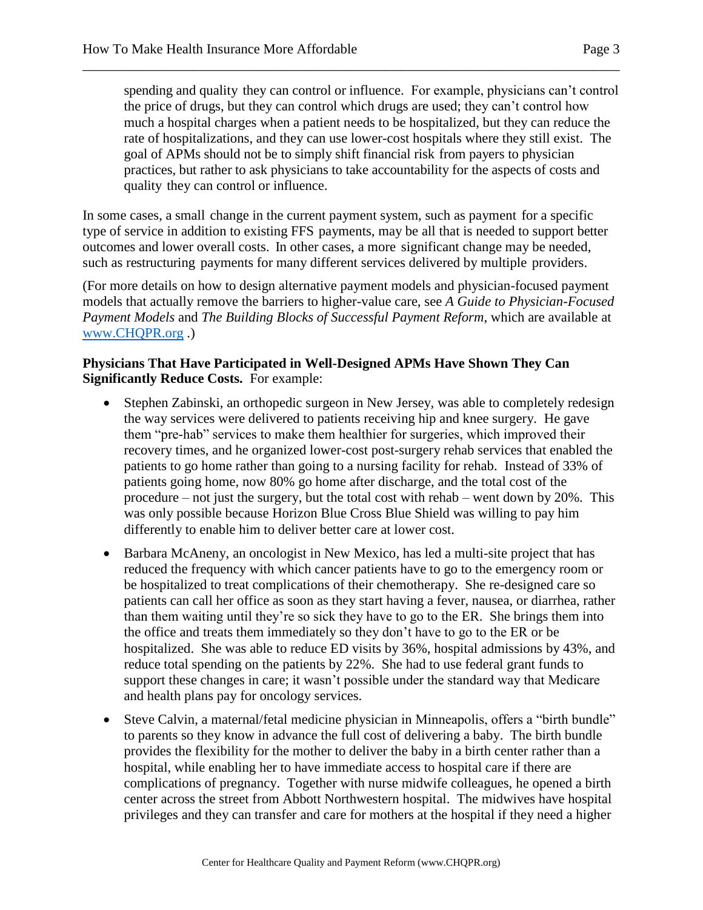spending and quality they can control or influence. For example, physicians can't control the price of drugs, but they can control which drugs are used; they can't control how much a hospital charges when a patient needs to be hospitalized, but they can reduce the rate of hospitalizations, and they can use lower-cost hospitals where they still exist. The goal of APMs should not be to simply shift financial risk from payers to physician practices, but rather to ask physicians to take accountability for the aspects of costs and quality they can control or influence.

\_\_\_\_\_\_\_\_\_\_\_\_\_\_\_\_\_\_\_\_\_\_\_\_\_\_\_\_\_\_\_\_\_\_\_\_\_\_\_\_\_\_\_\_\_\_\_\_\_\_\_\_\_\_\_\_\_\_\_\_\_\_\_\_\_\_\_\_\_\_\_\_\_\_\_\_\_\_

In some cases, a small change in the current payment system, such as payment for a specific type of service in addition to existing FFS payments, may be all that is needed to support better outcomes and lower overall costs. In other cases, a more significant change may be needed, such as restructuring payments for many different services delivered by multiple providers.

(For more details on how to design alternative payment models and physician-focused payment models that actually remove the barriers to higher-value care, see *A Guide to Physician-Focused Payment Models* and *The Building Blocks of Successful Payment Reform*, which are available at [www.CHQPR.org](http://www.chqpr.org/) .)

## **Physicians That Have Participated in Well-Designed APMs Have Shown They Can Significantly Reduce Costs.** For example:

- Stephen Zabinski, an orthopedic surgeon in New Jersey, was able to completely redesign the way services were delivered to patients receiving hip and knee surgery. He gave them "pre-hab" services to make them healthier for surgeries, which improved their recovery times, and he organized lower-cost post-surgery rehab services that enabled the patients to go home rather than going to a nursing facility for rehab. Instead of 33% of patients going home, now 80% go home after discharge, and the total cost of the procedure – not just the surgery, but the total cost with rehab – went down by 20%. This was only possible because Horizon Blue Cross Blue Shield was willing to pay him differently to enable him to deliver better care at lower cost.
- Barbara McAneny, an oncologist in New Mexico, has led a multi-site project that has reduced the frequency with which cancer patients have to go to the emergency room or be hospitalized to treat complications of their chemotherapy. She re-designed care so patients can call her office as soon as they start having a fever, nausea, or diarrhea, rather than them waiting until they're so sick they have to go to the ER. She brings them into the office and treats them immediately so they don't have to go to the ER or be hospitalized. She was able to reduce ED visits by 36%, hospital admissions by 43%, and reduce total spending on the patients by 22%. She had to use federal grant funds to support these changes in care; it wasn't possible under the standard way that Medicare and health plans pay for oncology services.
- Steve Calvin, a maternal/fetal medicine physician in Minneapolis, offers a "birth bundle" to parents so they know in advance the full cost of delivering a baby. The birth bundle provides the flexibility for the mother to deliver the baby in a birth center rather than a hospital, while enabling her to have immediate access to hospital care if there are complications of pregnancy. Together with nurse midwife colleagues, he opened a birth center across the street from Abbott Northwestern hospital. The midwives have hospital privileges and they can transfer and care for mothers at the hospital if they need a higher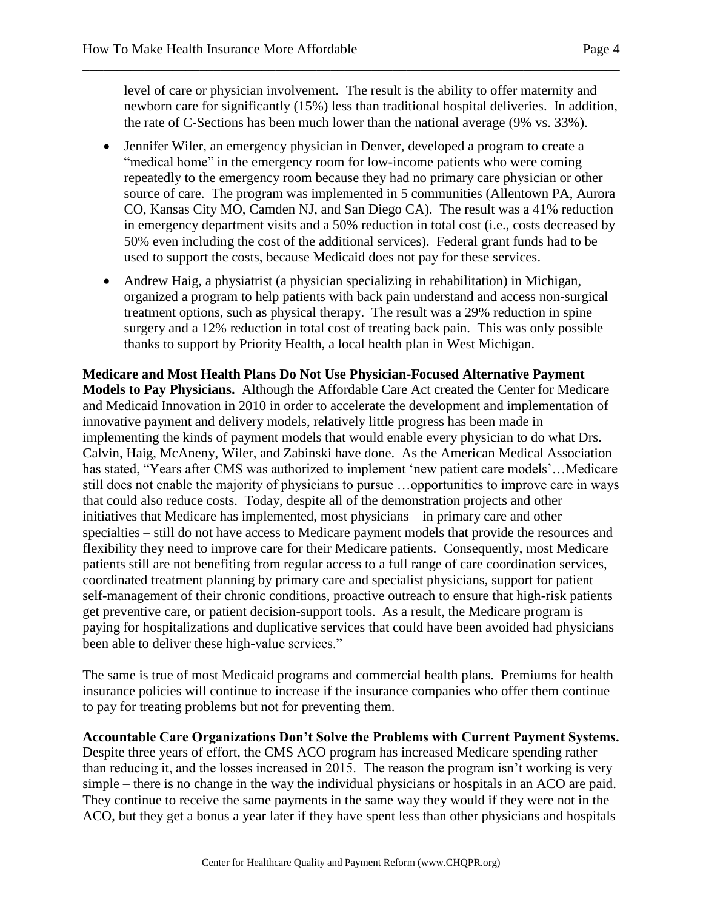level of care or physician involvement. The result is the ability to offer maternity and newborn care for significantly (15%) less than traditional hospital deliveries. In addition, the rate of C-Sections has been much lower than the national average (9% vs. 33%).

\_\_\_\_\_\_\_\_\_\_\_\_\_\_\_\_\_\_\_\_\_\_\_\_\_\_\_\_\_\_\_\_\_\_\_\_\_\_\_\_\_\_\_\_\_\_\_\_\_\_\_\_\_\_\_\_\_\_\_\_\_\_\_\_\_\_\_\_\_\_\_\_\_\_\_\_\_\_

- Jennifer Wiler, an emergency physician in Denver, developed a program to create a "medical home" in the emergency room for low-income patients who were coming repeatedly to the emergency room because they had no primary care physician or other source of care. The program was implemented in 5 communities (Allentown PA, Aurora CO, Kansas City MO, Camden NJ, and San Diego CA). The result was a 41% reduction in emergency department visits and a 50% reduction in total cost (i.e., costs decreased by 50% even including the cost of the additional services). Federal grant funds had to be used to support the costs, because Medicaid does not pay for these services.
- Andrew Haig, a physiatrist (a physician specializing in rehabilitation) in Michigan, organized a program to help patients with back pain understand and access non-surgical treatment options, such as physical therapy. The result was a 29% reduction in spine surgery and a 12% reduction in total cost of treating back pain. This was only possible thanks to support by Priority Health, a local health plan in West Michigan.

**Medicare and Most Health Plans Do Not Use Physician-Focused Alternative Payment Models to Pay Physicians.** Although the Affordable Care Act created the Center for Medicare and Medicaid Innovation in 2010 in order to accelerate the development and implementation of innovative payment and delivery models, relatively little progress has been made in implementing the kinds of payment models that would enable every physician to do what Drs. Calvin, Haig, McAneny, Wiler, and Zabinski have done. As the American Medical Association has stated, "Years after CMS was authorized to implement 'new patient care models'...Medicare still does not enable the majority of physicians to pursue …opportunities to improve care in ways that could also reduce costs. Today, despite all of the demonstration projects and other initiatives that Medicare has implemented, most physicians – in primary care and other specialties – still do not have access to Medicare payment models that provide the resources and flexibility they need to improve care for their Medicare patients. Consequently, most Medicare patients still are not benefiting from regular access to a full range of care coordination services, coordinated treatment planning by primary care and specialist physicians, support for patient self-management of their chronic conditions, proactive outreach to ensure that high-risk patients get preventive care, or patient decision-support tools. As a result, the Medicare program is paying for hospitalizations and duplicative services that could have been avoided had physicians been able to deliver these high-value services."

The same is true of most Medicaid programs and commercial health plans. Premiums for health insurance policies will continue to increase if the insurance companies who offer them continue to pay for treating problems but not for preventing them.

**Accountable Care Organizations Don't Solve the Problems with Current Payment Systems.**  Despite three years of effort, the CMS ACO program has increased Medicare spending rather than reducing it, and the losses increased in 2015. The reason the program isn't working is very simple – there is no change in the way the individual physicians or hospitals in an ACO are paid. They continue to receive the same payments in the same way they would if they were not in the ACO, but they get a bonus a year later if they have spent less than other physicians and hospitals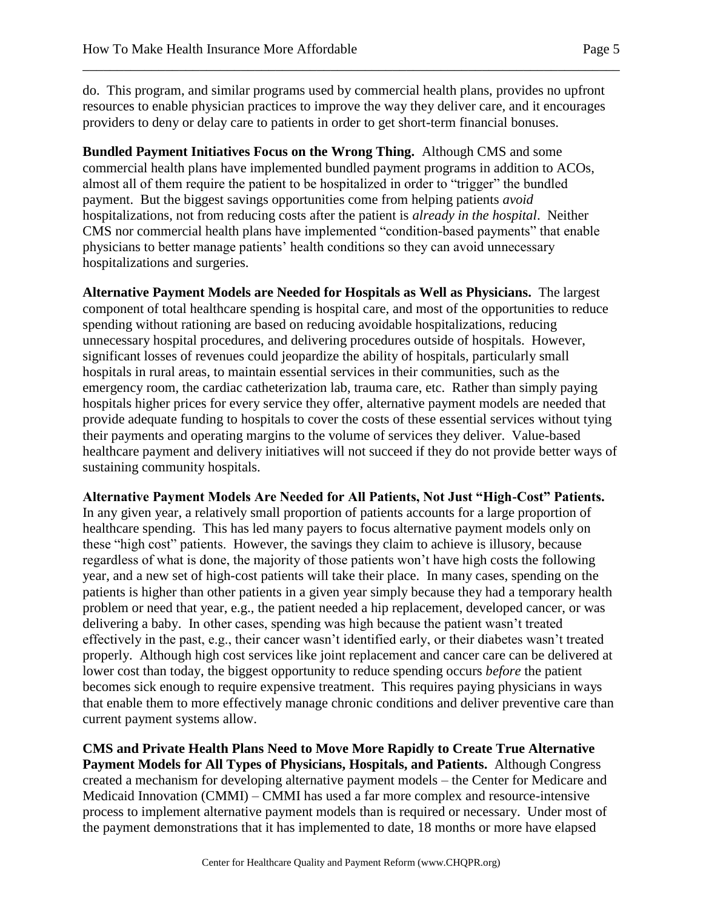do. This program, and similar programs used by commercial health plans, provides no upfront resources to enable physician practices to improve the way they deliver care, and it encourages providers to deny or delay care to patients in order to get short-term financial bonuses.

\_\_\_\_\_\_\_\_\_\_\_\_\_\_\_\_\_\_\_\_\_\_\_\_\_\_\_\_\_\_\_\_\_\_\_\_\_\_\_\_\_\_\_\_\_\_\_\_\_\_\_\_\_\_\_\_\_\_\_\_\_\_\_\_\_\_\_\_\_\_\_\_\_\_\_\_\_\_

**Bundled Payment Initiatives Focus on the Wrong Thing.** Although CMS and some commercial health plans have implemented bundled payment programs in addition to ACOs, almost all of them require the patient to be hospitalized in order to "trigger" the bundled payment. But the biggest savings opportunities come from helping patients *avoid* hospitalizations, not from reducing costs after the patient is *already in the hospital*. Neither CMS nor commercial health plans have implemented "condition-based payments" that enable physicians to better manage patients' health conditions so they can avoid unnecessary hospitalizations and surgeries.

**Alternative Payment Models are Needed for Hospitals as Well as Physicians.** The largest component of total healthcare spending is hospital care, and most of the opportunities to reduce spending without rationing are based on reducing avoidable hospitalizations, reducing unnecessary hospital procedures, and delivering procedures outside of hospitals. However, significant losses of revenues could jeopardize the ability of hospitals, particularly small hospitals in rural areas, to maintain essential services in their communities, such as the emergency room, the cardiac catheterization lab, trauma care, etc. Rather than simply paying hospitals higher prices for every service they offer, alternative payment models are needed that provide adequate funding to hospitals to cover the costs of these essential services without tying their payments and operating margins to the volume of services they deliver. Value-based healthcare payment and delivery initiatives will not succeed if they do not provide better ways of sustaining community hospitals.

**Alternative Payment Models Are Needed for All Patients, Not Just "High-Cost" Patients.**  In any given year, a relatively small proportion of patients accounts for a large proportion of healthcare spending. This has led many payers to focus alternative payment models only on these "high cost" patients. However, the savings they claim to achieve is illusory, because regardless of what is done, the majority of those patients won't have high costs the following year, and a new set of high-cost patients will take their place. In many cases, spending on the patients is higher than other patients in a given year simply because they had a temporary health problem or need that year, e.g., the patient needed a hip replacement, developed cancer, or was delivering a baby. In other cases, spending was high because the patient wasn't treated effectively in the past, e.g., their cancer wasn't identified early, or their diabetes wasn't treated properly. Although high cost services like joint replacement and cancer care can be delivered at lower cost than today, the biggest opportunity to reduce spending occurs *before* the patient becomes sick enough to require expensive treatment. This requires paying physicians in ways that enable them to more effectively manage chronic conditions and deliver preventive care than current payment systems allow.

**CMS and Private Health Plans Need to Move More Rapidly to Create True Alternative Payment Models for All Types of Physicians, Hospitals, and Patients.** Although Congress created a mechanism for developing alternative payment models – the Center for Medicare and Medicaid Innovation (CMMI) – CMMI has used a far more complex and resource-intensive process to implement alternative payment models than is required or necessary. Under most of the payment demonstrations that it has implemented to date, 18 months or more have elapsed